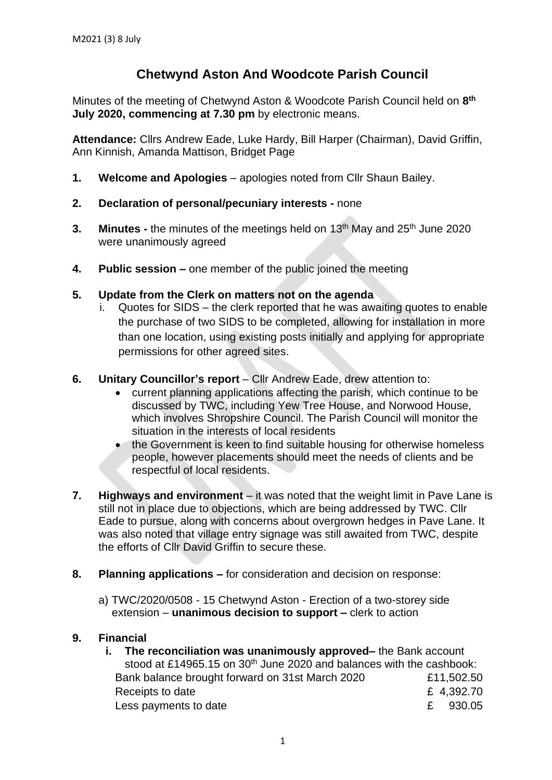## **Chetwynd Aston And Woodcote Parish Council**

Minutes of the meeting of Chetwynd Aston & Woodcote Parish Council held on **8 th July 2020, commencing at 7.30 pm** by electronic means.

**Attendance:** Cllrs Andrew Eade, Luke Hardy, Bill Harper (Chairman), David Griffin, Ann Kinnish, Amanda Mattison, Bridget Page

- **1. Welcome and Apologies** apologies noted from Cllr Shaun Bailey.
- **2. Declaration of personal/pecuniary interests -** none
- **3.** Minutes the minutes of the meetings held on 13<sup>th</sup> May and 25<sup>th</sup> June 2020 were unanimously agreed
- **4. Public session –** one member of the public joined the meeting
- **5. Update from the Clerk on matters not on the agenda**
	- i. Quotes for SIDS the clerk reported that he was awaiting quotes to enable the purchase of two SIDS to be completed, allowing for installation in more than one location, using existing posts initially and applying for appropriate permissions for other agreed sites.
- **6. Unitary Councillor's report** Cllr Andrew Eade, drew attention to:
	- current planning applications affecting the parish, which continue to be discussed by TWC, including Yew Tree House, and Norwood House, which involves Shropshire Council. The Parish Council will monitor the situation in the interests of local residents
	- the Government is keen to find suitable housing for otherwise homeless people, however placements should meet the needs of clients and be respectful of local residents.
- **7. Highways and environment** it was noted that the weight limit in Pave Lane is still not in place due to objections, which are being addressed by TWC. Cllr Eade to pursue, along with concerns about overgrown hedges in Pave Lane. It was also noted that village entry signage was still awaited from TWC, despite the efforts of Cllr David Griffin to secure these.
- **8. Planning applications –** for consideration and decision on response:
	- a) TWC/2020/0508 15 Chetwynd Aston Erection of a two-storey side extension – **unanimous decision to support –** clerk to action

## **9. Financial**

**i. The reconciliation was unanimously approved–** the Bank account stood at £14965.15 on 30<sup>th</sup> June 2020 and balances with the cashbook: Bank balance brought forward on 31st March 2020 £11,502.50 Receipts to date **E** 4,392.70 Less payments to date  $\epsilon$  930.05